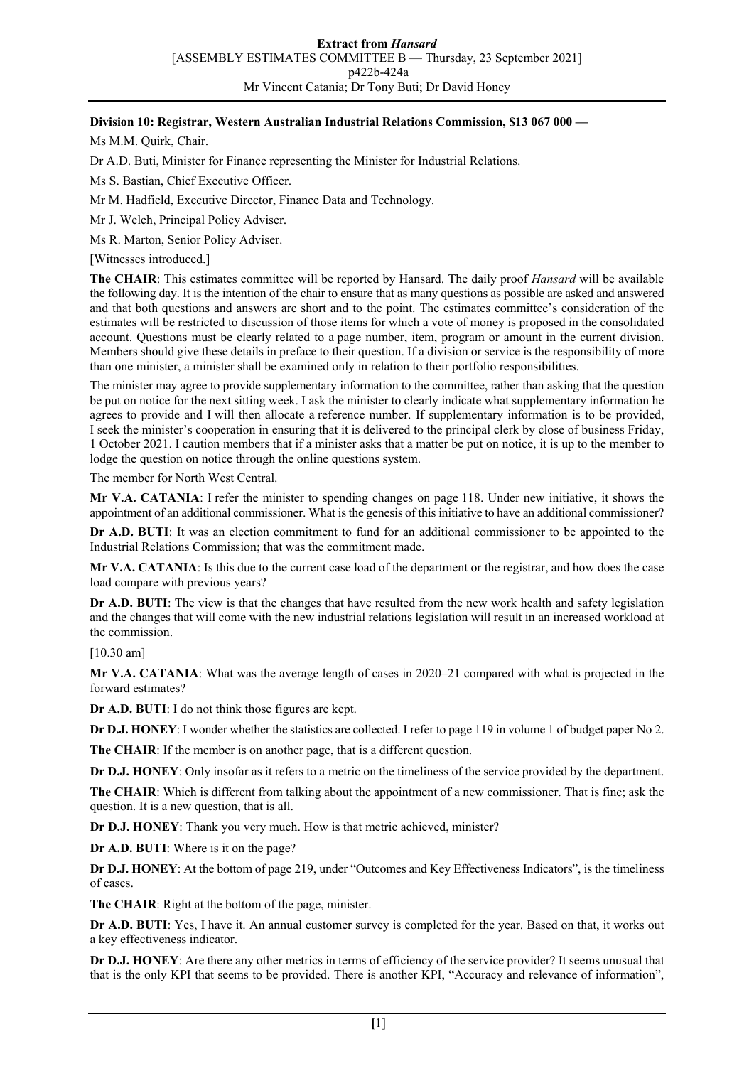## **Division 10: Registrar, Western Australian Industrial Relations Commission, \$13 067 000 —**

Ms M.M. Quirk, Chair.

Dr A.D. Buti, Minister for Finance representing the Minister for Industrial Relations.

Ms S. Bastian, Chief Executive Officer.

Mr M. Hadfield, Executive Director, Finance Data and Technology.

Mr J. Welch, Principal Policy Adviser.

Ms R. Marton, Senior Policy Adviser.

[Witnesses introduced.]

**The CHAIR**: This estimates committee will be reported by Hansard. The daily proof *Hansard* will be available the following day. It is the intention of the chair to ensure that as many questions as possible are asked and answered and that both questions and answers are short and to the point. The estimates committee's consideration of the estimates will be restricted to discussion of those items for which a vote of money is proposed in the consolidated account. Questions must be clearly related to a page number, item, program or amount in the current division. Members should give these details in preface to their question. If a division or service is the responsibility of more than one minister, a minister shall be examined only in relation to their portfolio responsibilities.

The minister may agree to provide supplementary information to the committee, rather than asking that the question be put on notice for the next sitting week. I ask the minister to clearly indicate what supplementary information he agrees to provide and I will then allocate a reference number. If supplementary information is to be provided, I seek the minister's cooperation in ensuring that it is delivered to the principal clerk by close of business Friday, 1 October 2021. I caution members that if a minister asks that a matter be put on notice, it is up to the member to lodge the question on notice through the online questions system.

The member for North West Central.

**Mr V.A. CATANIA**: I refer the minister to spending changes on page 118. Under new initiative, it shows the appointment of an additional commissioner. What is the genesis of this initiative to have an additional commissioner?

**Dr A.D. BUTI**: It was an election commitment to fund for an additional commissioner to be appointed to the Industrial Relations Commission; that was the commitment made.

**Mr V.A. CATANIA**: Is this due to the current case load of the department or the registrar, and how does the case load compare with previous years?

**Dr A.D. BUTI**: The view is that the changes that have resulted from the new work health and safety legislation and the changes that will come with the new industrial relations legislation will result in an increased workload at the commission.

[10.30 am]

**Mr V.A. CATANIA**: What was the average length of cases in 2020–21 compared with what is projected in the forward estimates?

**Dr A.D. BUTI**: I do not think those figures are kept.

**Dr D.J. HONEY**: I wonder whether the statistics are collected. I refer to page 119 in volume 1 of budget paper No 2.

**The CHAIR**: If the member is on another page, that is a different question.

**Dr D.J. HONEY**: Only insofar as it refers to a metric on the timeliness of the service provided by the department.

**The CHAIR**: Which is different from talking about the appointment of a new commissioner. That is fine; ask the question. It is a new question, that is all.

**Dr D.J. HONEY**: Thank you very much. How is that metric achieved, minister?

**Dr A.D. BUTI**: Where is it on the page?

**Dr D.J. HONEY**: At the bottom of page 219, under "Outcomes and Key Effectiveness Indicators", is the timeliness of cases.

**The CHAIR**: Right at the bottom of the page, minister.

**Dr A.D. BUTI**: Yes, I have it. An annual customer survey is completed for the year. Based on that, it works out a key effectiveness indicator.

**Dr D.J. HONEY**: Are there any other metrics in terms of efficiency of the service provider? It seems unusual that that is the only KPI that seems to be provided. There is another KPI, "Accuracy and relevance of information",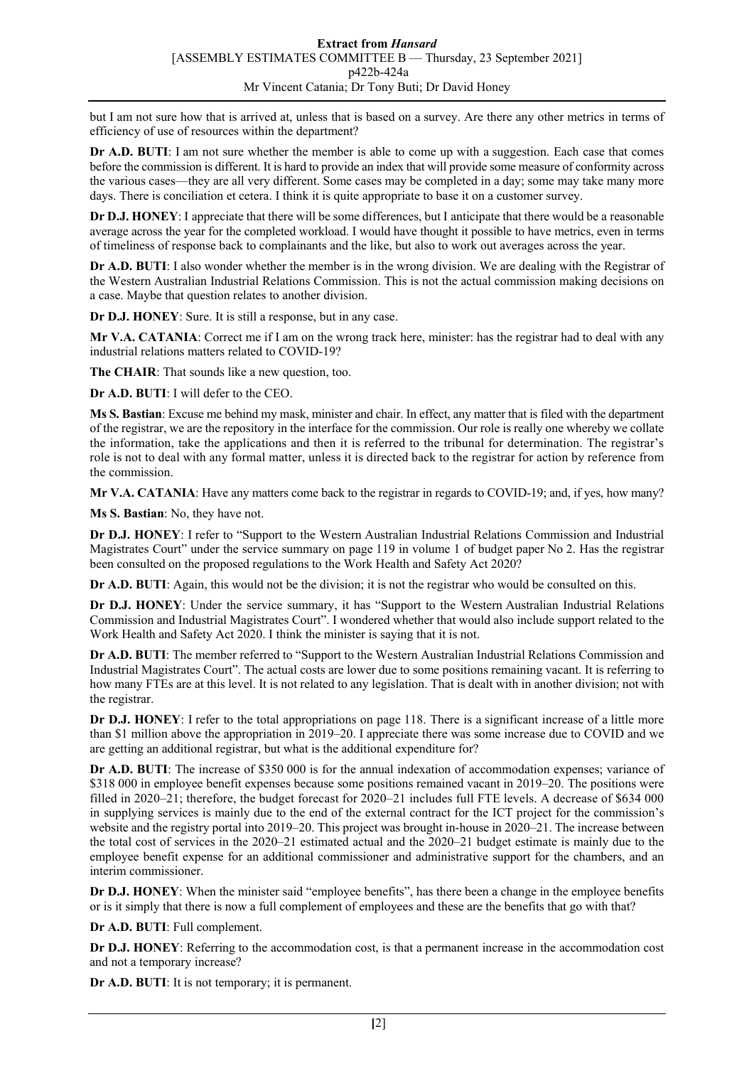but I am not sure how that is arrived at, unless that is based on a survey. Are there any other metrics in terms of efficiency of use of resources within the department?

**Dr A.D. BUTI**: I am not sure whether the member is able to come up with a suggestion. Each case that comes before the commission is different. It is hard to provide an index that will provide some measure of conformity across the various cases—they are all very different. Some cases may be completed in a day; some may take many more days. There is conciliation et cetera. I think it is quite appropriate to base it on a customer survey.

**Dr D.J. HONEY**: I appreciate that there will be some differences, but I anticipate that there would be a reasonable average across the year for the completed workload. I would have thought it possible to have metrics, even in terms of timeliness of response back to complainants and the like, but also to work out averages across the year.

**Dr A.D. BUTI**: I also wonder whether the member is in the wrong division. We are dealing with the Registrar of the Western Australian Industrial Relations Commission. This is not the actual commission making decisions on a case. Maybe that question relates to another division.

**Dr D.J. HONEY**: Sure. It is still a response, but in any case.

**Mr V.A. CATANIA**: Correct me if I am on the wrong track here, minister: has the registrar had to deal with any industrial relations matters related to COVID-19?

**The CHAIR**: That sounds like a new question, too.

**Dr A.D. BUTI**: I will defer to the CEO.

**Ms S. Bastian**: Excuse me behind my mask, minister and chair. In effect, any matter that is filed with the department of the registrar, we are the repository in the interface for the commission. Our role is really one whereby we collate the information, take the applications and then it is referred to the tribunal for determination. The registrar's role is not to deal with any formal matter, unless it is directed back to the registrar for action by reference from the commission.

**Mr V.A. CATANIA**: Have any matters come back to the registrar in regards to COVID-19; and, if yes, how many?

**Ms S. Bastian**: No, they have not.

**Dr D.J. HONEY**: I refer to "Support to the Western Australian Industrial Relations Commission and Industrial Magistrates Court" under the service summary on page 119 in volume 1 of budget paper No 2. Has the registrar been consulted on the proposed regulations to the Work Health and Safety Act 2020?

**Dr A.D. BUTI**: Again, this would not be the division; it is not the registrar who would be consulted on this.

**Dr D.J. HONEY**: Under the service summary, it has "Support to the Western Australian Industrial Relations Commission and Industrial Magistrates Court". I wondered whether that would also include support related to the Work Health and Safety Act 2020. I think the minister is saying that it is not.

**Dr A.D. BUTI**: The member referred to "Support to the Western Australian Industrial Relations Commission and Industrial Magistrates Court". The actual costs are lower due to some positions remaining vacant. It is referring to how many FTEs are at this level. It is not related to any legislation. That is dealt with in another division; not with the registrar.

**Dr D.J. HONEY**: I refer to the total appropriations on page 118. There is a significant increase of a little more than \$1 million above the appropriation in 2019–20. I appreciate there was some increase due to COVID and we are getting an additional registrar, but what is the additional expenditure for?

**Dr A.D. BUTI**: The increase of \$350 000 is for the annual indexation of accommodation expenses; variance of \$318 000 in employee benefit expenses because some positions remained vacant in 2019–20. The positions were filled in 2020–21; therefore, the budget forecast for 2020–21 includes full FTE levels. A decrease of \$634 000 in supplying services is mainly due to the end of the external contract for the ICT project for the commission's website and the registry portal into 2019–20. This project was brought in-house in 2020–21. The increase between the total cost of services in the 2020–21 estimated actual and the 2020–21 budget estimate is mainly due to the employee benefit expense for an additional commissioner and administrative support for the chambers, and an interim commissioner.

**Dr D.J. HONEY**: When the minister said "employee benefits", has there been a change in the employee benefits or is it simply that there is now a full complement of employees and these are the benefits that go with that?

**Dr A.D. BUTI**: Full complement.

**Dr D.J. HONEY**: Referring to the accommodation cost, is that a permanent increase in the accommodation cost and not a temporary increase?

**Dr A.D. BUTI**: It is not temporary; it is permanent.